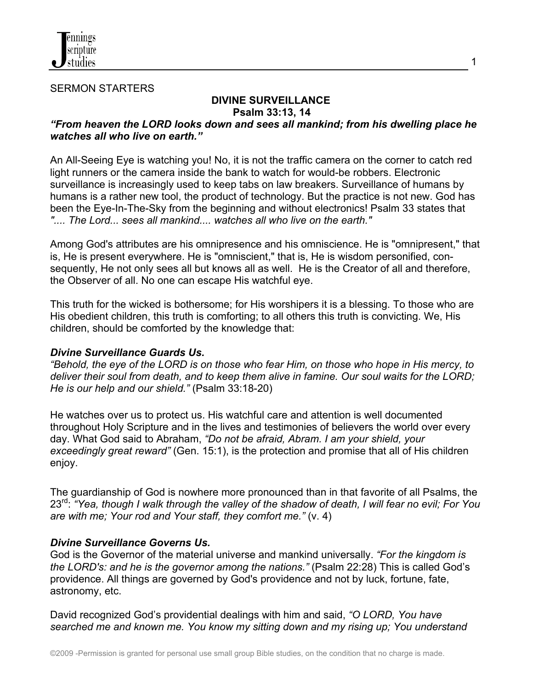

SERMON STARTERS

# **DIVINE SURVEILLANCE Psalm 33:13, 14**

1

## *"From heaven the LORD looks down and sees all mankind; from his dwelling place he watches all who live on earth."*

An All-Seeing Eye is watching you! No, it is not the traffic camera on the corner to catch red light runners or the camera inside the bank to watch for would-be robbers. Electronic surveillance is increasingly used to keep tabs on law breakers. Surveillance of humans by humans is a rather new tool, the product of technology. But the practice is not new. God has been the Eye-In-The-Sky from the beginning and without electronics! Psalm 33 states that *".... The Lord... sees all mankind.... watches all who live on the earth."*

Among God's attributes are his omnipresence and his omniscience. He is "omnipresent," that is, He is present everywhere. He is "omniscient," that is, He is wisdom personified, consequently, He not only sees all but knows all as well. He is the Creator of all and therefore, the Observer of all. No one can escape His watchful eye.

This truth for the wicked is bothersome; for His worshipers it is a blessing. To those who are His obedient children, this truth is comforting; to all others this truth is convicting. We, His children, should be comforted by the knowledge that:

#### *Divine Surveillance Guards Us.*

*"Behold, the eye of the LORD is on those who fear Him, on those who hope in His mercy, to deliver their soul from death, and to keep them alive in famine. Our soul waits for the LORD; He is our help and our shield."* (Psalm 33:18-20)

He watches over us to protect us. His watchful care and attention is well documented throughout Holy Scripture and in the lives and testimonies of believers the world over every day. What God said to Abraham, *"Do not be afraid, Abram. I am your shield, your exceedingly great reward"* (Gen. 15:1), is the protection and promise that all of His children enjoy.

The guardianship of God is nowhere more pronounced than in that favorite of all Psalms, the 23rd: *"Yea, though I walk through the valley of the shadow of death, I will fear no evil; For You are with me; Your rod and Your staff, they comfort me."* (v. 4)

#### *Divine Surveillance Governs Us.*

God is the Governor of the material universe and mankind universally. *"For the kingdom is the LORD's: and he is the governor among the nations."* (Psalm 22:28) This is called God's providence. All things are governed by God's providence and not by luck, fortune, fate, astronomy, etc.

David recognized God's providential dealings with him and said, *"O LORD, You have searched me and known me. You know my sitting down and my rising up; You understand*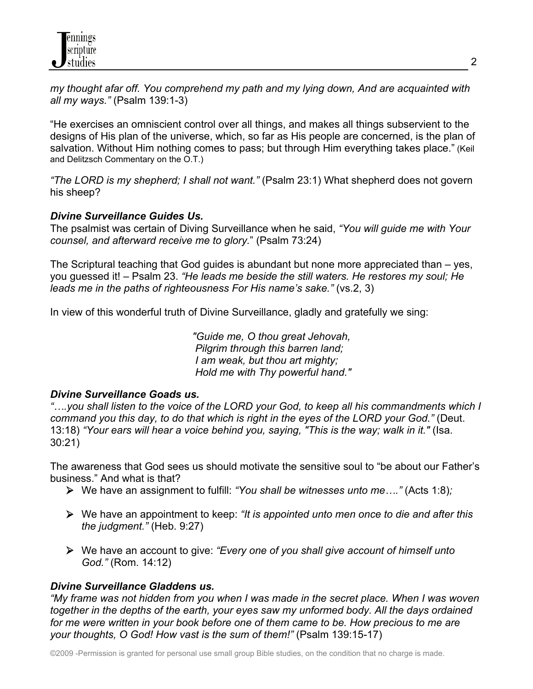*my thought afar off. You comprehend my path and my lying down, And are acquainted with all my ways."* (Psalm 139:1-3)

"He exercises an omniscient control over all things, and makes all things subservient to the designs of His plan of the universe, which, so far as His people are concerned, is the plan of salvation. Without Him nothing comes to pass; but through Him everything takes place." (Keil and Delitzsch Commentary on the O.T.)

*"The LORD is my shepherd; I shall not want."* (Psalm 23:1) What shepherd does not govern his sheep?

## *Divine Surveillance Guides Us.*

The psalmist was certain of Diving Surveillance when he said, *"You will guide me with Your counsel, and afterward receive me to glory.*" (Psalm 73:24)

The Scriptural teaching that God guides is abundant but none more appreciated than – yes, you guessed it! – Psalm 23. *"He leads me beside the still waters. He restores my soul; He leads me in the paths of righteousness For His name's sake."* (vs.2, 3)

In view of this wonderful truth of Divine Surveillance, gladly and gratefully we sing:

 *"Guide me, O thou great Jehovah, Pilgrim through this barren land; I am weak, but thou art mighty; Hold me with Thy powerful hand."*

#### *Divine Surveillance Goads us.*

*"….you shall listen to the voice of the LORD your God, to keep all his commandments which I command you this day, to do that which is right in the eyes of the LORD your God."* (Deut. 13:18) *"Your ears will hear a voice behind you, saying, "This is the way; walk in it."* (Isa. 30:21)

The awareness that God sees us should motivate the sensitive soul to "be about our Father's business." And what is that?

- We have an assignment to fulfill: *"You shall be witnesses unto me…."* (Acts 1:8)*;*
- We have an appointment to keep: *"It is appointed unto men once to die and after this the judgment."* (Heb. 9:27)
- We have an account to give: *"Every one of you shall give account of himself unto God."* (Rom. 14:12)

## *Divine Surveillance Gladdens us.*

*"My frame was not hidden from you when I was made in the secret place. When I was woven together in the depths of the earth, your eyes saw my unformed body. All the days ordained*  for me were written in your book before one of them came to be. How precious to me are *your thoughts, O God! How vast is the sum of them!"* (Psalm 139:15-17)